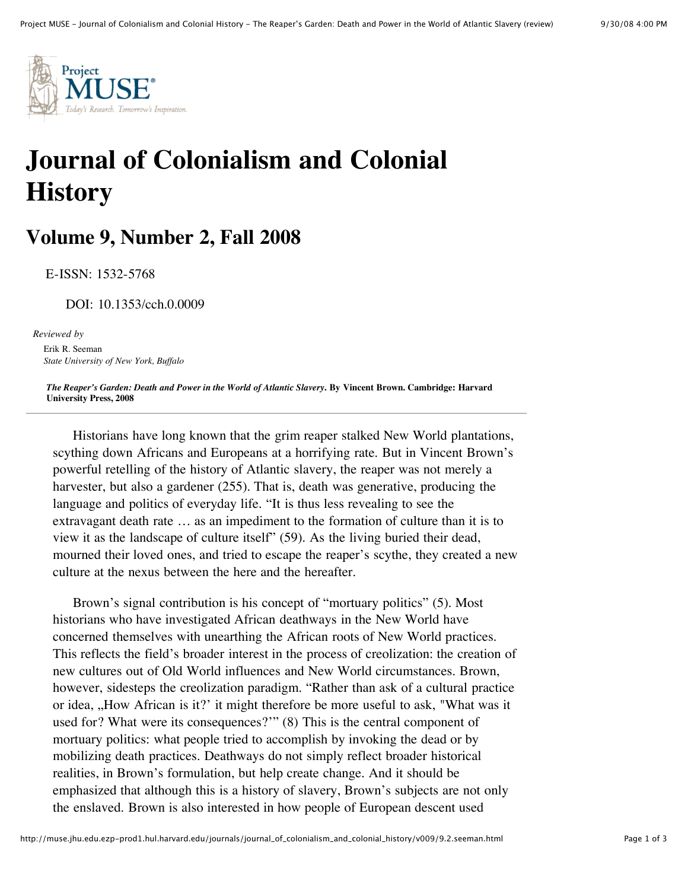

## **Journal of Colonialism and Colonial History**

## **Volume 9, Number 2, Fall 2008**

E-ISSN: 1532-5768

DOI: 10.1353/cch.0.0009

*Reviewed by* Erik R. Seeman *State University of New York, Buffalo*

The Reaper's Garden: Death and Power in the World of Atlantic Slavery. By Vincent Brown. Cambridge: Harvard **University Press, 2008**

Historians have long known that the grim reaper stalked New World plantations, scything down Africans and Europeans at a horrifying rate. But in Vincent Brown's powerful retelling of the history of Atlantic slavery, the reaper was not merely a harvester, but also a gardener (255). That is, death was generative, producing the language and politics of everyday life. "It is thus less revealing to see the extravagant death rate … as an impediment to the formation of culture than it is to view it as the landscape of culture itself" (59). As the living buried their dead, mourned their loved ones, and tried to escape the reaper's scythe, they created a new culture at the nexus between the here and the hereafter.

Brown's signal contribution is his concept of "mortuary politics" (5). Most historians who have investigated African deathways in the New World have concerned themselves with unearthing the African roots of New World practices. This reflects the field's broader interest in the process of creolization: the creation of new cultures out of Old World influences and New World circumstances. Brown, however, sidesteps the creolization paradigm. "Rather than ask of a cultural practice or idea, "How African is it?' it might therefore be more useful to ask, "What was it used for? What were its consequences?'" (8) This is the central component of mortuary politics: what people tried to accomplish by invoking the dead or by mobilizing death practices. Deathways do not simply reflect broader historical realities, in Brown's formulation, but help create change. And it should be emphasized that although this is a history of slavery, Brown's subjects are not only the enslaved. Brown is also interested in how people of European descent used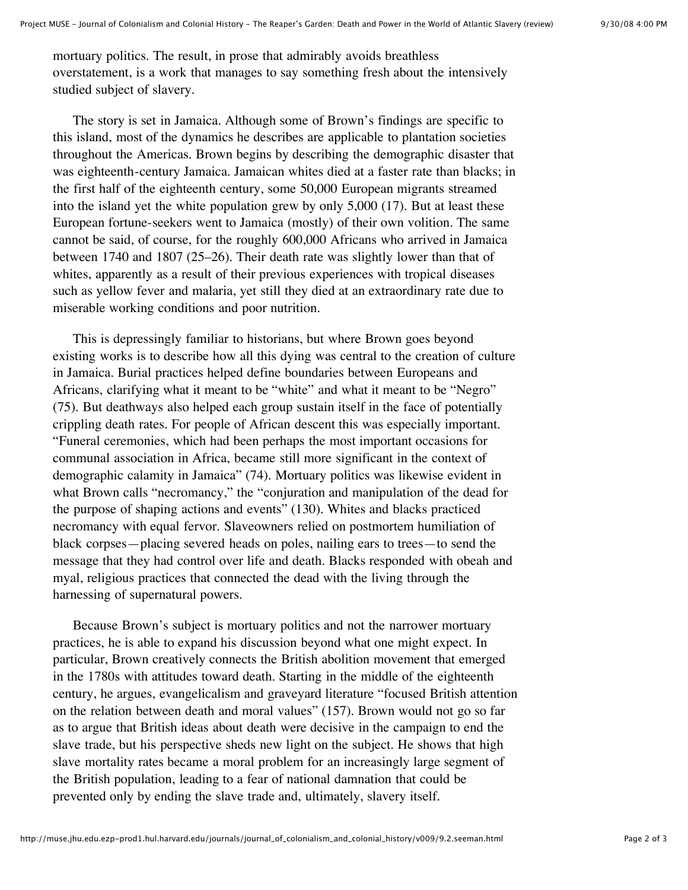mortuary politics. The result, in prose that admirably avoids breathless overstatement, is a work that manages to say something fresh about the intensively studied subject of slavery.

The story is set in Jamaica. Although some of Brown's findings are specific to this island, most of the dynamics he describes are applicable to plantation societies throughout the Americas. Brown begins by describing the demographic disaster that was eighteenth-century Jamaica. Jamaican whites died at a faster rate than blacks; in the first half of the eighteenth century, some 50,000 European migrants streamed into the island yet the white population grew by only 5,000 (17). But at least these European fortune-seekers went to Jamaica (mostly) of their own volition. The same cannot be said, of course, for the roughly 600,000 Africans who arrived in Jamaica between 1740 and 1807 (25–26). Their death rate was slightly lower than that of whites, apparently as a result of their previous experiences with tropical diseases such as yellow fever and malaria, yet still they died at an extraordinary rate due to miserable working conditions and poor nutrition.

This is depressingly familiar to historians, but where Brown goes beyond existing works is to describe how all this dying was central to the creation of culture in Jamaica. Burial practices helped define boundaries between Europeans and Africans, clarifying what it meant to be "white" and what it meant to be "Negro" (75). But deathways also helped each group sustain itself in the face of potentially crippling death rates. For people of African descent this was especially important. "Funeral ceremonies, which had been perhaps the most important occasions for communal association in Africa, became still more significant in the context of demographic calamity in Jamaica" (74). Mortuary politics was likewise evident in what Brown calls "necromancy," the "conjuration and manipulation of the dead for the purpose of shaping actions and events" (130). Whites and blacks practiced necromancy with equal fervor. Slaveowners relied on postmortem humiliation of black corpses—placing severed heads on poles, nailing ears to trees—to send the message that they had control over life and death. Blacks responded with obeah and myal, religious practices that connected the dead with the living through the harnessing of supernatural powers.

Because Brown's subject is mortuary politics and not the narrower mortuary practices, he is able to expand his discussion beyond what one might expect. In particular, Brown creatively connects the British abolition movement that emerged in the 1780s with attitudes toward death. Starting in the middle of the eighteenth century, he argues, evangelicalism and graveyard literature "focused British attention on the relation between death and moral values" (157). Brown would not go so far as to argue that British ideas about death were decisive in the campaign to end the slave trade, but his perspective sheds new light on the subject. He shows that high slave mortality rates became a moral problem for an increasingly large segment of the British population, leading to a fear of national damnation that could be prevented only by ending the slave trade and, ultimately, slavery itself.